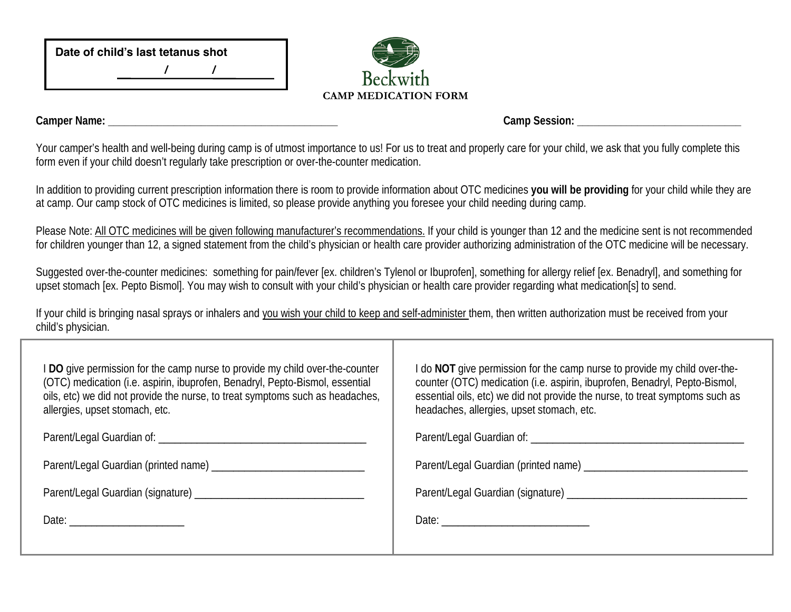| Date of child's last tetanus shot |  |  |  |  |
|-----------------------------------|--|--|--|--|
|                                   |  |  |  |  |



**Camper Name: \_\_\_\_\_\_\_\_\_\_\_\_\_\_\_\_\_\_\_\_\_\_\_\_\_\_\_\_\_\_\_\_\_\_\_\_\_\_\_\_\_\_ Camp Session: \_\_\_\_\_\_\_\_\_\_\_\_\_\_\_\_\_\_\_\_\_\_\_\_\_\_\_\_\_\_**

Your camper's health and well-being during camp is of utmost importance to us! For us to treat and properly care for your child, we ask that you fully complete this form even if your child doesn't regularly take prescription or over-the-counter medication.

In addition to providing current prescription information there is room to provide information about OTC medicines **you will be providing** for your child while they are at camp. Our camp stock of OTC medicines is limited, so please provide anything you foresee your child needing during camp.

Please Note: All OTC medicines will be given following manufacturer's recommendations. If your child is younger than 12 and the medicine sent is not recommended for children younger than 12, a signed statement from the child's physician or health care provider authorizing administration of the OTC medicine will be necessary.

Suggested over-the-counter medicines: something for pain/fever [ex. children's Tylenol or Ibuprofen], something for allergy relief [ex. Benadryl], and something for upset stomach [ex. Pepto Bismol]. You may wish to consult with your child's physician or health care provider regarding what medication[s] to send.

If your child is bringing nasal sprays or inhalers and you wish your child to keep and self-administer them, then written authorization must be received from your child's physician.

| I DO give permission for the camp nurse to provide my child over-the-counter<br>(OTC) medication (i.e. aspirin, ibuprofen, Benadryl, Pepto-Bismol, essential<br>oils, etc) we did not provide the nurse, to treat symptoms such as headaches,<br>allergies, upset stomach, etc. | I do NOT give permission for the camp nurse to provide my child over-the-<br>counter (OTC) medication (i.e. aspirin, ibuprofen, Benadryl, Pepto-Bismol,<br>essential oils, etc) we did not provide the nurse, to treat symptoms such as<br>headaches, allergies, upset stomach, etc. |  |  |
|---------------------------------------------------------------------------------------------------------------------------------------------------------------------------------------------------------------------------------------------------------------------------------|--------------------------------------------------------------------------------------------------------------------------------------------------------------------------------------------------------------------------------------------------------------------------------------|--|--|
|                                                                                                                                                                                                                                                                                 |                                                                                                                                                                                                                                                                                      |  |  |
|                                                                                                                                                                                                                                                                                 |                                                                                                                                                                                                                                                                                      |  |  |
|                                                                                                                                                                                                                                                                                 |                                                                                                                                                                                                                                                                                      |  |  |
| Date: ____________________                                                                                                                                                                                                                                                      |                                                                                                                                                                                                                                                                                      |  |  |
|                                                                                                                                                                                                                                                                                 |                                                                                                                                                                                                                                                                                      |  |  |